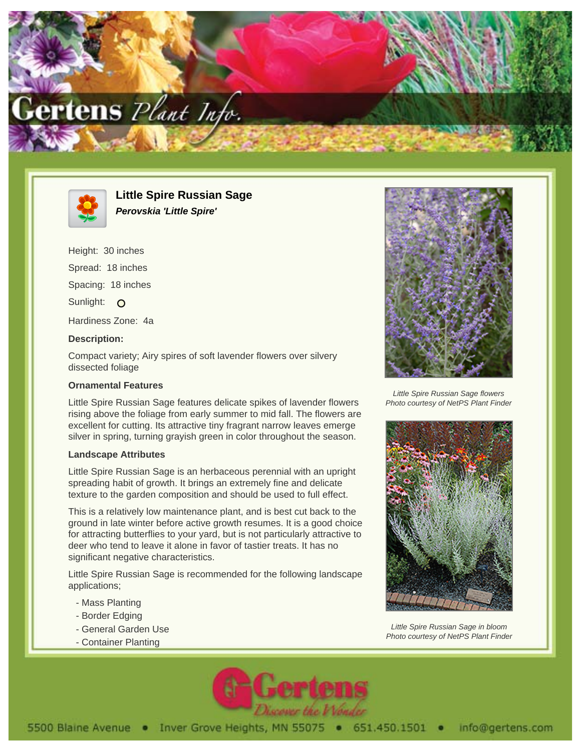



**Little Spire Russian Sage Perovskia 'Little Spire'**

Height: 30 inches Spread: 18 inches Spacing: 18 inches Sunlight: O Hardiness Zone: 4a

## **Description:**

Compact variety; Airy spires of soft lavender flowers over silvery dissected foliage

## **Ornamental Features**

Little Spire Russian Sage features delicate spikes of lavender flowers rising above the foliage from early summer to mid fall. The flowers are excellent for cutting. Its attractive tiny fragrant narrow leaves emerge silver in spring, turning grayish green in color throughout the season.

## **Landscape Attributes**

Little Spire Russian Sage is an herbaceous perennial with an upright spreading habit of growth. It brings an extremely fine and delicate texture to the garden composition and should be used to full effect.

This is a relatively low maintenance plant, and is best cut back to the ground in late winter before active growth resumes. It is a good choice for attracting butterflies to your yard, but is not particularly attractive to deer who tend to leave it alone in favor of tastier treats. It has no significant negative characteristics.

Little Spire Russian Sage is recommended for the following landscape applications;

- Mass Planting
- Border Edging
- General Garden Use
- Container Planting



Little Spire Russian Sage flowers Photo courtesy of NetPS Plant Finder



Little Spire Russian Sage in bloom Photo courtesy of NetPS Plant Finder